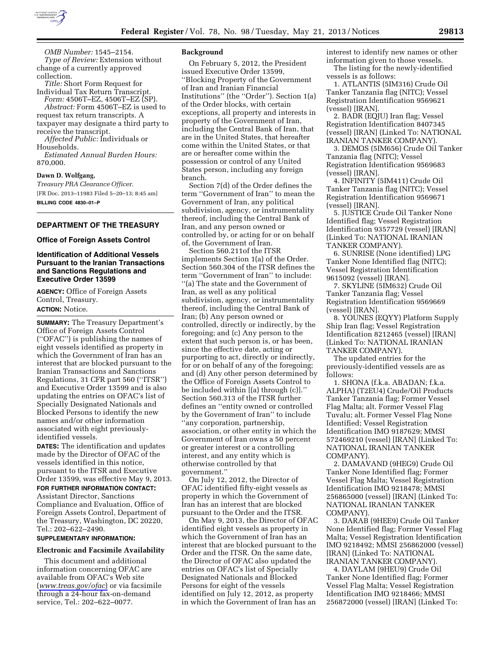

*OMB Number:* 1545–2154. *Type of Review:* Extension without change of a currently approved collection.

*Title:* Short Form Request for Individual Tax Return Transcript.

*Form:* 4506T–EZ, 4506T–EZ (SP). *Abstract:* Form 4506T–EZ is used to request tax return transcripts. A taxpayer may designate a third party to receive the transcript.

*Affected Public:* Individuals or Households.

*Estimated Annual Burden Hours:*  870,000.

### **Dawn D. Wolfgang,**

*Treasury PRA Clearance Officer.*  [FR Doc. 2013–11983 Filed 5–20–13; 8:45 am] **BILLING CODE 4830–01–P** 

## **DEPARTMENT OF THE TREASURY**

#### **Office of Foreign Assets Control**

### **Identification of Additional Vessels Pursuant to the Iranian Transactions and Sanctions Regulations and Executive Order 13599**

**AGENCY:** Office of Foreign Assets Control, Treasury. **ACTION:** Notice.

**SUMMARY:** The Treasury Department's Office of Foreign Assets Control (''OFAC'') is publishing the names of eight vessels identified as property in which the Government of Iran has an interest that are blocked pursuant to the Iranian Transactions and Sanctions Regulations, 31 CFR part 560 (''ITSR'') and Executive Order 13599 and is also updating the entries on OFAC's list of Specially Designated Nationals and Blocked Persons to identify the new names and/or other information associated with eight previouslyidentified vessels.

**DATES:** The identification and updates made by the Director of OFAC of the vessels identified in this notice, pursuant to the ITSR and Executive Order 13599, was effective May 9, 2013. **FOR FURTHER INFORMATION CONTACT:** 

Assistant Director, Sanctions Compliance and Evaluation, Office of Foreign Assets Control, Department of the Treasury, Washington, DC 20220, Tel.: 202–622–2490.

### **SUPPLEMENTARY INFORMATION:**

#### **Electronic and Facsimile Availability**

This document and additional information concerning OFAC are available from OFAC's Web site (*[www.treas.gov/ofac](http://www.treas.gov/ofac)*) or via facsimile through a 24-hour fax-on-demand service, Tel.: 202–622–0077.

#### **Background**

On February 5, 2012, the President issued Executive Order 13599, ''Blocking Property of the Government of Iran and Iranian Financial Institutions'' (the ''Order''). Section 1(a) of the Order blocks, with certain exceptions, all property and interests in property of the Government of Iran, including the Central Bank of Iran, that are in the United States, that hereafter come within the United States, or that are or hereafter come within the possession or control of any United States person, including any foreign branch.

Section 7(d) of the Order defines the term ''Government of Iran'' to mean the Government of Iran, any political subdivision, agency, or instrumentality thereof, including the Central Bank of Iran, and any person owned or controlled by, or acting for or on behalf of, the Government of Iran.

Section 560.211of the ITSR implements Section 1(a) of the Order. Section 560.304 of the ITSR defines the term ''Government of Iran'' to include: ''(a) The state and the Government of Iran, as well as any political subdivision, agency, or instrumentality thereof, including the Central Bank of Iran; (b) Any person owned or controlled, directly or indirectly, by the foregoing; and (c) Any person to the extent that such person is, or has been, since the effective date, acting or purporting to act, directly or indirectly, for or on behalf of any of the foregoing; and (d) Any other person determined by the Office of Foreign Assets Control to be included within [(a) through (c)].'' Section 560.313 of the ITSR further defines an ''entity owned or controlled by the Government of Iran'' to include ''any corporation, partnership, association, or other entity in which the Government of Iran owns a 50 percent or greater interest or a controlling interest, and any entity which is otherwise controlled by that government.''

On July 12, 2012, the Director of OFAC identified fifty-eight vessels as property in which the Government of Iran has an interest that are blocked pursuant to the Order and the ITSR.

On May 9, 2013, the Director of OFAC identified eight vessels as property in which the Government of Iran has an interest that are blocked pursuant to the Order and the ITSR. On the same date, the Director of OFAC also updated the entries on OFAC's list of Specially Designated Nationals and Blocked Persons for eight of the vessels identified on July 12, 2012, as property in which the Government of Iran has an

interest to identify new names or other information given to those vessels. The listing for the newly-identified

vessels is as follows: 1. ATLANTIS (5IM316) Crude Oil

Tanker Tanzania flag (NITC); Vessel Registration Identification 9569621 (vessel) [IRAN].

2. BADR (EQJU) Iran flag; Vessel Registration Identification 8407345 (vessel) [IRAN] (Linked To: NATIONAL IRANIAN TANKER COMPANY).

3. DEMOS (5IM656) Crude Oil Tanker Tanzania flag (NITC); Vessel Registration Identification 9569683 (vessel) [IRAN].

4. INFINITY (5IM411) Crude Oil Tanker Tanzania flag (NITC); Vessel Registration Identification 9569671 (vessel) [IRAN].

5. JUSTICE Crude Oil Tanker None Identified flag; Vessel Registration Identification 9357729 (vessel) [IRAN] (Linked To: NATIONAL IRANIAN TANKER COMPANY).

6. SUNRISE (None identified) LPG Tanker None Identified flag (NITC); Vessel Registration Identification 9615092 (vessel) [IRAN].

7. SKYLINE (5IM632) Crude Oil Tanker Tanzania flag; Vessel Registration Identification 9569669 (vessel) [IRAN].

8. YOUNES (EQYY) Platform Supply Ship Iran flag; Vessel Registration Identification 8212465 (vessel) [IRAN] (Linked To: NATIONAL IRANIAN TANKER COMPANY).

The updated entries for the previously-identified vessels are as follows:

1. SHONA (f.k.a. ABADAN; f.k.a. ALPHA) (T2EU4) Crude/Oil Products Tanker Tanzania flag; Former Vessel Flag Malta; alt. Former Vessel Flag Tuvalu; alt. Former Vessel Flag None Identified; Vessel Registration Identification IMO 9187629; MMSI 572469210 (vessel) [IRAN] (Linked To: NATIONAL IRANIAN TANKER COMPANY).

2. DAMAVAND (9HEG9) Crude Oil Tanker None Identified flag; Former Vessel Flag Malta; Vessel Registration Identification IMO 9218478; MMSI 256865000 (vessel) [IRAN] (Linked To: NATIONAL IRANIAN TANKER COMPANY).

3. DARAB (9HEE9) Crude Oil Tanker None Identified flag; Former Vessel Flag Malta; Vessel Registration Identification IMO 9218492; MMSI 256862000 (vessel) [IRAN] (Linked To: NATIONAL IRANIAN TANKER COMPANY).

4. DAYLAM (9HEU9) Crude Oil Tanker None Identified flag; Former Vessel Flag Malta; Vessel Registration Identification IMO 9218466; MMSI 256872000 (vessel) [IRAN] (Linked To: